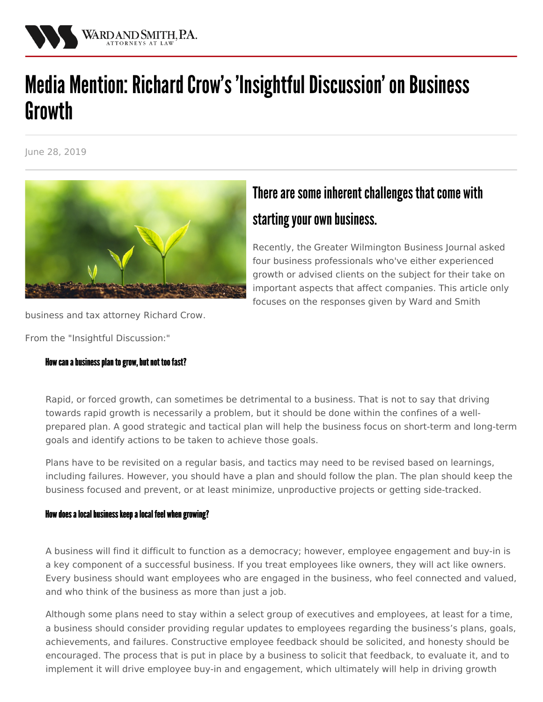

# Media Mention: Richard Crow's 'Insightful Discussion' on Business **Growth**

June 28, 2019



## There are some inherent challenges that come with starting your own business.

Recently, the Greater [Wilmington](https://www.wilmingtonbiz.com/) Business Journal asked four business professionals who've either experienced growth or advised clients on the subject for their take on important aspects that affect companies. This article only focuses on the responses given by Ward and Smith

business and tax attorney [Richard](/attorneys/richard-j-crow) Crow.

From the "Insightful Discussion:"

### How can a business plan to grow, but not too fast?

Rapid, or forced growth, can sometimes be detrimental to a business. That is not to say that driving towards rapid growth is necessarily a problem, but it should be done within the confines of a wellprepared plan. A good strategic and tactical plan will help the business focus on short-term and long-term goals and identify actions to be taken to achieve those goals.

Plans have to be revisited on a regular basis, and tactics may need to be revised based on learnings, including failures. However, you should have a plan and should follow the plan. The plan should keep the business focused and prevent, or at least minimize, unproductive projects or getting side-tracked.

#### How does a local business keep a local feel when growing?

A business will find it difficult to function as a democracy; however, employee engagement and buy-in is a key component of a successful business. If you treat employees like owners, they will act like owners. Every business should want employees who are engaged in the business, who feel connected and valued, and who think of the business as more than just a job.

Although some plans need to stay within a select group of executives and employees, at least for a time, a business should consider providing regular updates to employees regarding the business's plans, goals, achievements, and failures. Constructive employee feedback should be solicited, and honesty should be encouraged. The process that is put in place by a business to solicit that feedback, to evaluate it, and to implement it will drive employee buy-in and engagement, which ultimately will help in driving growth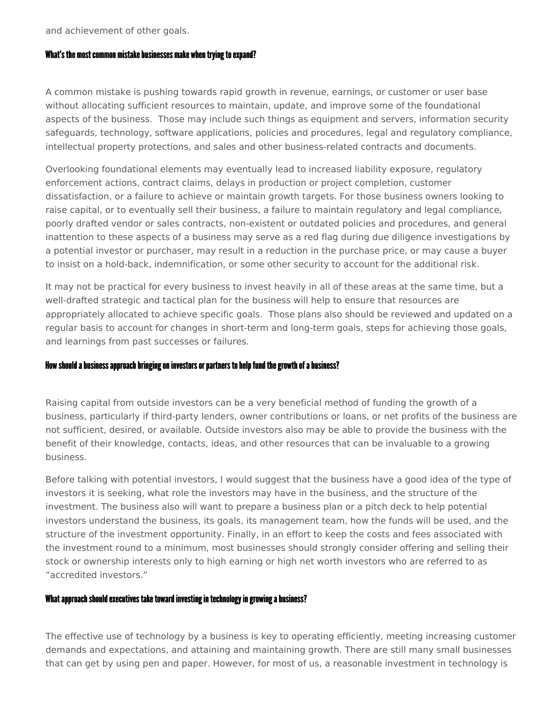and achievement of other goals.

#### What's the most common mistake businesses make when trying to expand?

A common mistake is pushing towards rapid growth in revenue, earnings, or customer or user base without allocating sufficient resources to maintain, update, and improve some of the foundational aspects of the business. Those may include such things as equipment and servers, information security safeguards, technology, software applications, policies and procedures, legal and regulatory compliance, intellectual property protections, and sales and other business-related contracts and documents.

Overlooking foundational elements may eventually lead to increased liability exposure, regulatory enforcement actions, contract claims, delays in production or project completion, customer dissatisfaction, or a failure to achieve or maintain growth targets. For those business owners looking to raise capital, or to eventually sell their business, a failure to maintain regulatory and legal compliance, poorly drafted vendor or sales contracts, non-existent or outdated policies and procedures, and general inattention to these aspects of a business may serve as a red flag during due diligence investigations by a potential investor or purchaser, may result in a reduction in the purchase price, or may cause a buyer to insist on a hold-back, indemnification, or some other security to account for the additional risk.

It may not be practical for every business to invest heavily in all of these areas at the same time, but a well-drafted strategic and tactical plan for the business will help to ensure that resources are appropriately allocated to achieve specific goals. Those plans also should be reviewed and updated on a regular basis to account for changes in short-term and long-term goals, steps for achieving those goals, and learnings from past successes or failures.

#### How should a business approach bringing on investors or partners to help fund the growth of a business?

Raising capital from outside investors can be a very beneficial method of funding the growth of a business, particularly if third-party lenders, owner contributions or loans, or net profits of the business are not sufficient, desired, or available. Outside investors also may be able to provide the business with the benefit of their knowledge, contacts, ideas, and other resources that can be invaluable to a growing business.

Before talking with potential investors, I would suggest that the business have a good idea of the type of investors it is seeking, what role the investors may have in the business, and the structure of the investment. The business also will want to prepare a business plan or a pitch deck to help potential investors understand the business, its goals, its management team, how the funds will be used, and the structure of the investment opportunity. Finally, in an effort to keep the costs and fees associated with the investment round to a minimum, most businesses should strongly consider offering and selling their stock or ownership interests only to high earning or high net worth investors who are referred to as "accredited investors."

#### What approach should executives take toward investing in technology in growing a business?

The effective use of technology by a business is key to operating efficiently, meeting increasing customer demands and expectations, and attaining and maintaining growth. There are still many small businesses that can get by using pen and paper. However, for most of us, a reasonable investment in technology is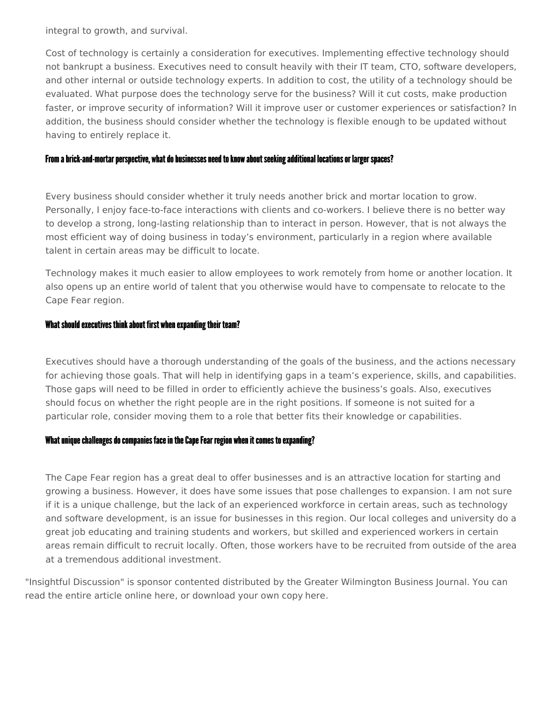integral to growth, and survival.

Cost of technology is certainly a consideration for executives. Implementing effective technology should not bankrupt a business. Executives need to consult heavily with their IT team, CTO, software developers, and other internal or outside technology experts. In addition to cost, the utility of a technology should be evaluated. What purpose does the technology serve for the business? Will it cut costs, make production faster, or improve security of information? Will it improve user or customer experiences or satisfaction? In addition, the business should consider whether the technology is flexible enough to be updated without having to entirely replace it.

#### From a brick-and-mortar perspective, what do businesses need to know about seeking additional locations or larger spaces?

Every business should consider whether it truly needs another brick and mortar location to grow. Personally, I enjoy face-to-face interactions with clients and co-workers. I believe there is no better way to develop a strong, long-lasting relationship than to interact in person. However, that is not always the most efficient way of doing business in today's environment, particularly in a region where available talent in certain areas may be difficult to locate.

Technology makes it much easier to allow employees to work remotely from home or another location. It also opens up an entire world of talent that you otherwise would have to compensate to relocate to the Cape Fear region.

#### What should executives think about first when expanding their team?

Executives should have a thorough understanding of the goals of the business, and the actions necessary for achieving those goals. That will help in identifying gaps in a team's experience, skills, and capabilities. Those gaps will need to be filled in order to efficiently achieve the business's goals. Also, executives should focus on whether the right people are in the right positions. If someone is not suited for a particular role, consider moving them to a role that better fits their knowledge or capabilities.

#### What unique challenges do companies face in the Cape Fear region when it comes to expanding?

The Cape Fear region has a great deal to offer businesses and is an attractive location for starting and growing a business. However, it does have some issues that pose challenges to expansion. I am not sure if it is a unique challenge, but the lack of an experienced workforce in certain areas, such as technology and software development, is an issue for businesses in this region. Our local colleges and university do a great job educating and training students and workers, but skilled and experienced workers in certain areas remain difficult to recruit locally. Often, those workers have to be recruited from outside of the area at a tremendous additional investment.

"Insightful Discussion" is sponsor contented distributed by the Greater Wilmington Business Journal. You can read the entire article online [here](https://www.wilmingtonbiz.com/insightful_discussions/business_growth_is_it_as_easy_as_it_sounds/2413), or download your own copy [here](https://nmcdn.io/e186d21f8c7946a19faed23c3da2f0da/2198139c60484547ac05dbaa326cedbb/files/Insightful-Discussion-on-Business-Growth.pdf).